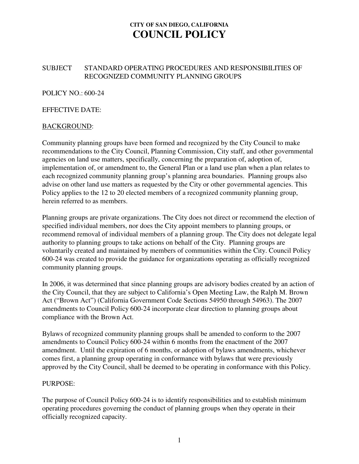### SUBJECT STANDARD OPERATING PROCEDURES AND RESPONSIBILITIES OF RECOGNIZED COMMUNITY PLANNING GROUPS

POLICY NO.: 600-24

#### EFFECTIVE DATE:

#### BACKGROUND:

Community planning groups have been formed and recognized by the City Council to make recommendations to the City Council, Planning Commission, City staff, and other governmental agencies on land use matters, specifically, concerning the preparation of, adoption of, implementation of, or amendment to, the General Plan or a land use plan when a plan relates to each recognized community planning group's planning area boundaries. Planning groups also advise on other land use matters as requested by the City or other governmental agencies. This Policy applies to the 12 to 20 elected members of a recognized community planning group, herein referred to as members.

Planning groups are private organizations. The City does not direct or recommend the election of specified individual members, nor does the City appoint members to planning groups, or recommend removal of individual members of a planning group. The City does not delegate legal authority to planning groups to take actions on behalf of the City. Planning groups are voluntarily created and maintained by members of communities within the City. Council Policy 600-24 was created to provide the guidance for organizations operating as officially recognized community planning groups.

In 2006, it was determined that since planning groups are advisory bodies created by an action of the City Council, that they are subject to California's Open Meeting Law, the Ralph M. Brown Act ("Brown Act") (California Government Code Sections 54950 through 54963). The 2007 amendments to Council Policy 600-24 incorporate clear direction to planning groups about compliance with the Brown Act.

Bylaws of recognized community planning groups shall be amended to conform to the 2007 amendments to Council Policy 600-24 within 6 months from the enactment of the 2007 amendment. Until the expiration of 6 months, or adoption of bylaws amendments, whichever comes first, a planning group operating in conformance with bylaws that were previously approved by the City Council, shall be deemed to be operating in conformance with this Policy.

#### PURPOSE:

The purpose of Council Policy 600-24 is to identify responsibilities and to establish minimum operating procedures governing the conduct of planning groups when they operate in their officially recognized capacity.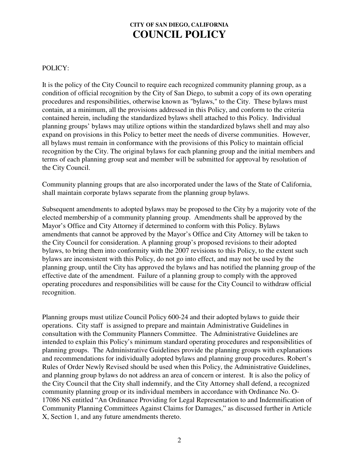### POLICY:

It is the policy of the City Council to require each recognized community planning group, as a condition of official recognition by the City of San Diego, to submit a copy of its own operating procedures and responsibilities, otherwise known as "bylaws," to the City. These bylaws must contain, at a minimum, all the provisions addressed in this Policy, and conform to the criteria contained herein, including the standardized bylaws shell attached to this Policy. Individual planning groups' bylaws may utilize options within the standardized bylaws shell and may also expand on provisions in this Policy to better meet the needs of diverse communities. However, all bylaws must remain in conformance with the provisions of this Policy to maintain official recognition by the City. The original bylaws for each planning group and the initial members and terms of each planning group seat and member will be submitted for approval by resolution of the City Council.

Community planning groups that are also incorporated under the laws of the State of California, shall maintain corporate bylaws separate from the planning group bylaws.

Subsequent amendments to adopted bylaws may be proposed to the City by a majority vote of the elected membership of a community planning group. Amendments shall be approved by the Mayor's Office and City Attorney if determined to conform with this Policy. Bylaws amendments that cannot be approved by the Mayor's Office and City Attorney will be taken to the City Council for consideration. A planning group's proposed revisions to their adopted bylaws, to bring them into conformity with the 2007 revisions to this Policy, to the extent such bylaws are inconsistent with this Policy, do not go into effect, and may not be used by the planning group, until the City has approved the bylaws and has notified the planning group of the effective date of the amendment. Failure of a planning group to comply with the approved operating procedures and responsibilities will be cause for the City Council to withdraw official recognition.

Planning groups must utilize Council Policy 600-24 and their adopted bylaws to guide their operations. City staff is assigned to prepare and maintain Administrative Guidelines in consultation with the Community Planners Committee. The Administrative Guidelines are intended to explain this Policy's minimum standard operating procedures and responsibilities of planning groups. The Administrative Guidelines provide the planning groups with explanations and recommendations for individually adopted bylaws and planning group procedures. Robert's Rules of Order Newly Revised should be used when this Policy, the Administrative Guidelines, and planning group bylaws do not address an area of concern or interest. It is also the policy of the City Council that the City shall indemnify, and the City Attorney shall defend, a recognized community planning group or its individual members in accordance with Ordinance No. O-17086 NS entitled "An Ordinance Providing for Legal Representation to and Indemnification of Community Planning Committees Against Claims for Damages," as discussed further in Article X, Section 1, and any future amendments thereto.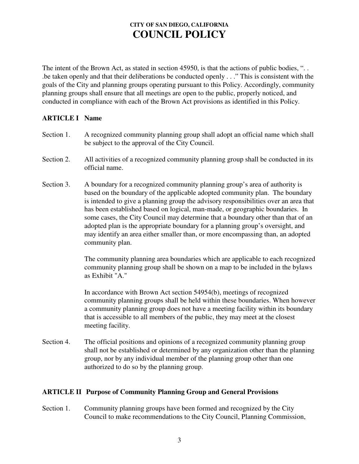The intent of the Brown Act, as stated in section 45950, is that the actions of public bodies, "... .be taken openly and that their deliberations be conducted openly . . ." This is consistent with the goals of the City and planning groups operating pursuant to this Policy. Accordingly, community planning groups shall ensure that all meetings are open to the public, properly noticed, and conducted in compliance with each of the Brown Act provisions as identified in this Policy.

### **ARTICLE I Name**

- Section 1. A recognized community planning group shall adopt an official name which shall be subject to the approval of the City Council.
- Section 2. All activities of a recognized community planning group shall be conducted in its official name.
- Section 3. A boundary for a recognized community planning group's area of authority is based on the boundary of the applicable adopted community plan. The boundary is intended to give a planning group the advisory responsibilities over an area that has been established based on logical, man-made, or geographic boundaries. In some cases, the City Council may determine that a boundary other than that of an adopted plan is the appropriate boundary for a planning group's oversight, and may identify an area either smaller than, or more encompassing than, an adopted community plan.

The community planning area boundaries which are applicable to each recognized community planning group shall be shown on a map to be included in the bylaws as Exhibit "A."

In accordance with Brown Act section 54954(b), meetings of recognized community planning groups shall be held within these boundaries. When however a community planning group does not have a meeting facility within its boundary that is accessible to all members of the public, they may meet at the closest meeting facility.

Section 4. The official positions and opinions of a recognized community planning group shall not be established or determined by any organization other than the planning group, nor by any individual member of the planning group other than one authorized to do so by the planning group.

### **ARTICLE II Purpose of Community Planning Group and General Provisions**

Section 1. Community planning groups have been formed and recognized by the City Council to make recommendations to the City Council, Planning Commission,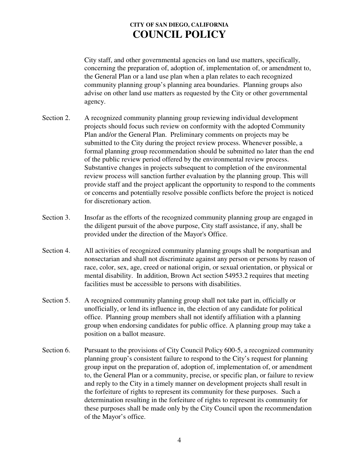City staff, and other governmental agencies on land use matters, specifically, concerning the preparation of, adoption of, implementation of, or amendment to, the General Plan or a land use plan when a plan relates to each recognized community planning group's planning area boundaries. Planning groups also advise on other land use matters as requested by the City or other governmental agency.

- Section 2. A recognized community planning group reviewing individual development projects should focus such review on conformity with the adopted Community Plan and/or the General Plan. Preliminary comments on projects may be submitted to the City during the project review process. Whenever possible, a formal planning group recommendation should be submitted no later than the end of the public review period offered by the environmental review process. Substantive changes in projects subsequent to completion of the environmental review process will sanction further evaluation by the planning group. This will provide staff and the project applicant the opportunity to respond to the comments or concerns and potentially resolve possible conflicts before the project is noticed for discretionary action.
- Section 3. Insofar as the efforts of the recognized community planning group are engaged in the diligent pursuit of the above purpose, City staff assistance, if any, shall be provided under the direction of the Mayor's Office.
- Section 4. All activities of recognized community planning groups shall be nonpartisan and nonsectarian and shall not discriminate against any person or persons by reason of race, color, sex, age, creed or national origin, or sexual orientation, or physical or mental disability. In addition, Brown Act section 54953.2 requires that meeting facilities must be accessible to persons with disabilities.
- Section 5. A recognized community planning group shall not take part in, officially or unofficially, or lend its influence in, the election of any candidate for political office. Planning group members shall not identify affiliation with a planning group when endorsing candidates for public office. A planning group may take a position on a ballot measure.
- Section 6. Pursuant to the provisions of City Council Policy 600-5, a recognized community planning group's consistent failure to respond to the City's request for planning group input on the preparation of, adoption of, implementation of, or amendment to, the General Plan or a community, precise, or specific plan, or failure to review and reply to the City in a timely manner on development projects shall result in the forfeiture of rights to represent its community for these purposes. Such a determination resulting in the forfeiture of rights to represent its community for these purposes shall be made only by the City Council upon the recommendation of the Mayor's office.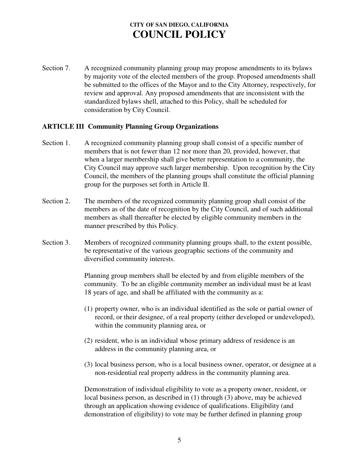Section 7. A recognized community planning group may propose amendments to its bylaws by majority vote of the elected members of the group. Proposed amendments shall be submitted to the offices of the Mayor and to the City Attorney, respectively, for review and approval. Any proposed amendments that are inconsistent with the standardized bylaws shell, attached to this Policy, shall be scheduled for consideration by City Council.

#### **ARTICLE III Community Planning Group Organizations**

- Section 1. A recognized community planning group shall consist of a specific number of members that is not fewer than 12 nor more than 20, provided, however, that when a larger membership shall give better representation to a community, the City Council may approve such larger membership. Upon recognition by the City Council, the members of the planning groups shall constitute the official planning group for the purposes set forth in Article II.
- Section 2. The members of the recognized community planning group shall consist of the members as of the date of recognition by the City Council, and of such additional members as shall thereafter be elected by eligible community members in the manner prescribed by this Policy.
- Section 3. Members of recognized community planning groups shall, to the extent possible, be representative of the various geographic sections of the community and diversified community interests.

Planning group members shall be elected by and from eligible members of the community. To be an eligible community member an individual must be at least 18 years of age, and shall be affiliated with the community as a:

- (1) property owner, who is an individual identified as the sole or partial owner of record, or their designee, of a real property (either developed or undeveloped), within the community planning area, or
- (2) resident, who is an individual whose primary address of residence is an address in the community planning area, or
- (3) local business person, who is a local business owner, operator, or designee at a non-residential real property address in the community planning area.

Demonstration of individual eligibility to vote as a property owner, resident, or local business person, as described in (1) through (3) above, may be achieved through an application showing evidence of qualifications. Eligibility (and demonstration of eligibility) to vote may be further defined in planning group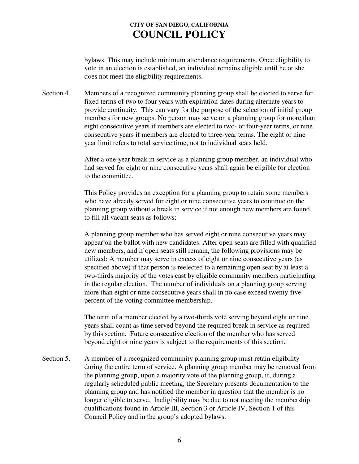bylaws. This may include minimum attendance requirements. Once eligibility to vote in an election is established, an individual remains eligible until he or she does not meet the eligibility requirements.

Section 4. Members of a recognized community planning group shall be elected to serve for fixed terms of two to four years with expiration dates during alternate years to provide continuity. This can vary for the purpose of the selection of initial group members for new groups. No person may serve on a planning group for more than eight consecutive years if members are elected to two- or four-year terms, or nine consecutive years if members are elected to three-year terms. The eight or nine year limit refers to total service time, not to individual seats held.

> After a one-year break in service as a planning group member, an individual who had served for eight or nine consecutive years shall again be eligible for election to the committee.

> This Policy provides an exception for a planning group to retain some members who have already served for eight or nine consecutive years to continue on the planning group without a break in service if not enough new members are found to fill all vacant seats as follows:

A planning group member who has served eight or nine consecutive years may appear on the ballot with new candidates. After open seats are filled with qualified new members, and if open seats still remain, the following provisions may be utilized: A member may serve in excess of eight or nine consecutive years (as specified above) if that person is reelected to a remaining open seat by at least a two-thirds majority of the votes cast by eligible community members participating in the regular election. The number of individuals on a planning group serving more than eight or nine consecutive years shall in no case exceed twenty-five percent of the voting committee membership.

The term of a member elected by a two-thirds vote serving beyond eight or nine years shall count as time served beyond the required break in service as required by this section. Future consecutive election of the member who has served beyond eight or nine years is subject to the requirements of this section.

Section 5. A member of a recognized community planning group must retain eligibility during the entire term of service. A planning group member may be removed from the planning group, upon a majority vote of the planning group, if, during a regularly scheduled public meeting, the Secretary presents documentation to the planning group and has notified the member in question that the member is no longer eligible to serve. Ineligibility may be due to not meeting the membership qualifications found in Article III, Section 3 or Article IV, Section 1 of this Council Policy and in the group's adopted bylaws.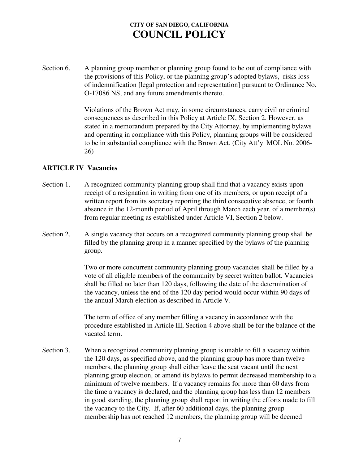Section 6. A planning group member or planning group found to be out of compliance with the provisions of this Policy, or the planning group's adopted bylaws, risks loss of indemnification [legal protection and representation] pursuant to Ordinance No. O-17086 NS, and any future amendments thereto.

> Violations of the Brown Act may, in some circumstances, carry civil or criminal consequences as described in this Policy at Article IX, Section 2. However, as stated in a memorandum prepared by the City Attorney, by implementing bylaws and operating in compliance with this Policy, planning groups will be considered to be in substantial compliance with the Brown Act. (City Att'y MOL No. 2006- 26)

#### **ARTICLE IV Vacancies**

- Section 1. A recognized community planning group shall find that a vacancy exists upon receipt of a resignation in writing from one of its members, or upon receipt of a written report from its secretary reporting the third consecutive absence, or fourth absence in the 12-month period of April through March each year, of a member(s) from regular meeting as established under Article VI, Section 2 below.
- Section 2. A single vacancy that occurs on a recognized community planning group shall be filled by the planning group in a manner specified by the bylaws of the planning group.

Two or more concurrent community planning group vacancies shall be filled by a vote of all eligible members of the community by secret written ballot. Vacancies shall be filled no later than 120 days, following the date of the determination of the vacancy, unless the end of the 120 day period would occur within 90 days of the annual March election as described in Article V.

The term of office of any member filling a vacancy in accordance with the procedure established in Article III, Section 4 above shall be for the balance of the vacated term.

Section 3. When a recognized community planning group is unable to fill a vacancy within the 120 days, as specified above, and the planning group has more than twelve members, the planning group shall either leave the seat vacant until the next planning group election, or amend its bylaws to permit decreased membership to a minimum of twelve members. If a vacancy remains for more than 60 days from the time a vacancy is declared, and the planning group has less than 12 members in good standing, the planning group shall report in writing the efforts made to fill the vacancy to the City. If, after 60 additional days, the planning group membership has not reached 12 members, the planning group will be deemed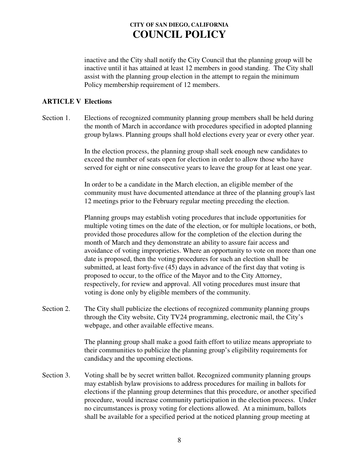inactive and the City shall notify the City Council that the planning group will be inactive until it has attained at least 12 members in good standing. The City shall assist with the planning group election in the attempt to regain the minimum Policy membership requirement of 12 members.

#### **ARTICLE V Elections**

Section 1. Elections of recognized community planning group members shall be held during the month of March in accordance with procedures specified in adopted planning group bylaws. Planning groups shall hold elections every year or every other year.

> In the election process, the planning group shall seek enough new candidates to exceed the number of seats open for election in order to allow those who have served for eight or nine consecutive years to leave the group for at least one year.

In order to be a candidate in the March election, an eligible member of the community must have documented attendance at three of the planning group's last 12 meetings prior to the February regular meeting preceding the election.

Planning groups may establish voting procedures that include opportunities for multiple voting times on the date of the election, or for multiple locations, or both, provided those procedures allow for the completion of the election during the month of March and they demonstrate an ability to assure fair access and avoidance of voting improprieties. Where an opportunity to vote on more than one date is proposed, then the voting procedures for such an election shall be submitted, at least forty-five (45) days in advance of the first day that voting is proposed to occur, to the office of the Mayor and to the City Attorney, respectively, for review and approval. All voting procedures must insure that voting is done only by eligible members of the community.

Section 2. The City shall publicize the elections of recognized community planning groups through the City website, City TV24 programming, electronic mail, the City's webpage, and other available effective means.

> The planning group shall make a good faith effort to utilize means appropriate to their communities to publicize the planning group's eligibility requirements for candidacy and the upcoming elections.

Section 3. Voting shall be by secret written ballot. Recognized community planning groups may establish bylaw provisions to address procedures for mailing in ballots for elections if the planning group determines that this procedure, or another specified procedure, would increase community participation in the election process. Under no circumstances is proxy voting for elections allowed. At a minimum, ballots shall be available for a specified period at the noticed planning group meeting at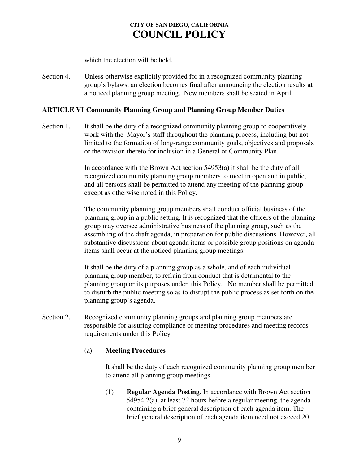which the election will be held.

Section 4. Unless otherwise explicitly provided for in a recognized community planning group's bylaws, an election becomes final after announcing the election results at a noticed planning group meeting. New members shall be seated in April.

### **ARTICLE VI Community Planning Group and Planning Group Member Duties**

Section 1. It shall be the duty of a recognized community planning group to cooperatively work with the Mayor's staff throughout the planning process, including but not limited to the formation of long-range community goals, objectives and proposals or the revision thereto for inclusion in a General or Community Plan.

> In accordance with the Brown Act section 54953(a) it shall be the duty of all recognized community planning group members to meet in open and in public, and all persons shall be permitted to attend any meeting of the planning group except as otherwise noted in this Policy.

The community planning group members shall conduct official business of the planning group in a public setting. It is recognized that the officers of the planning group may oversee administrative business of the planning group, such as the assembling of the draft agenda, in preparation for public discussions. However, all substantive discussions about agenda items or possible group positions on agenda items shall occur at the noticed planning group meetings.

It shall be the duty of a planning group as a whole, and of each individual planning group member, to refrain from conduct that is detrimental to the planning group or its purposes under this Policy. No member shall be permitted to disturb the public meeting so as to disrupt the public process as set forth on the planning group's agenda.

Section 2. Recognized community planning groups and planning group members are responsible for assuring compliance of meeting procedures and meeting records requirements under this Policy.

### (a) **Meeting Procedures**

.

It shall be the duty of each recognized community planning group member to attend all planning group meetings.

(1) **Regular Agenda Posting.** In accordance with Brown Act section 54954.2(a), at least 72 hours before a regular meeting, the agenda containing a brief general description of each agenda item. The brief general description of each agenda item need not exceed 20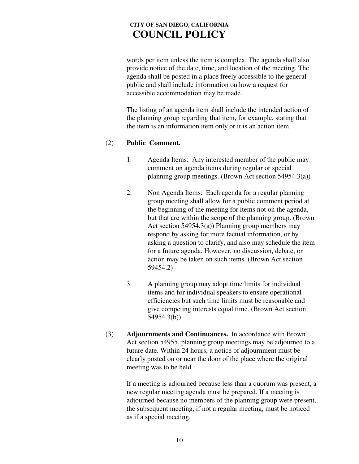words per item unless the item is complex. The agenda shall also provide notice of the date, time, and location of the meeting. The agenda shall be posted in a place freely accessible to the general public and shall include information on how a request for accessible accommodation may be made.

The listing of an agenda item shall include the intended action of the planning group regarding that item, for example, stating that the item is an information item only or it is an action item.

#### (2) **Public Comment.**

- 1. Agenda Items: Any interested member of the public may comment on agenda items during regular or special planning group meetings. (Brown Act section 54954.3(a))
- 2. Non Agenda Items: Each agenda for a regular planning group meeting shall allow for a public comment period at the beginning of the meeting for items not on the agenda, but that are within the scope of the planning group. (Brown Act section 54954.3(a)) Planning group members may respond by asking for more factual information, or by asking a question to clarify, and also may schedule the item for a future agenda. However, no discussion, debate, or action may be taken on such items. (Brown Act section 59454.2)
- 3. A planning group may adopt time limits for individual items and for individual speakers to ensure operational efficiencies but such time limits must be reasonable and give competing interests equal time. (Brown Act section 54954.3(b))
- (3) **Adjournments and Continuances.** In accordance with Brown Act section 54955, planning group meetings may be adjourned to a future date. Within 24 hours, a notice of adjournment must be clearly posted on or near the door of the place where the original meeting was to be held.

If a meeting is adjourned because less than a quorum was present, a new regular meeting agenda must be prepared. If a meeting is adjourned because no members of the planning group were present, the subsequent meeting, if not a regular meeting, must be noticed as if a special meeting.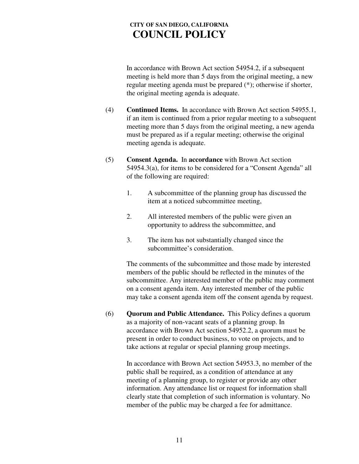In accordance with Brown Act section 54954.2, if a subsequent meeting is held more than 5 days from the original meeting, a new regular meeting agenda must be prepared (\*); otherwise if shorter, the original meeting agenda is adequate.

- (4) **Continued Items.** In accordance with Brown Act section 54955.1, if an item is continued from a prior regular meeting to a subsequent meeting more than 5 days from the original meeting, a new agenda must be prepared as if a regular meeting; otherwise the original meeting agenda is adequate.
- (5) **Consent Agenda.** In **accordance** with Brown Act section 54954.3(a), for items to be considered for a "Consent Agenda" all of the following are required:
	- 1. A subcommittee of the planning group has discussed the item at a noticed subcommittee meeting,
	- 2. All interested members of the public were given an opportunity to address the subcommittee, and
	- 3. The item has not substantially changed since the subcommittee's consideration.

The comments of the subcommittee and those made by interested members of the public should be reflected in the minutes of the subcommittee. Any interested member of the public may comment on a consent agenda item. Any interested member of the public may take a consent agenda item off the consent agenda by request.

(6) **Quorum and Public Attendance.** This Policy defines a quorum as a majority of non-vacant seats of a planning group. In accordance with Brown Act section 54952.2, a quorum must be present in order to conduct business, to vote on projects, and to take actions at regular or special planning group meetings.

> In accordance with Brown Act section 54953.3, no member of the public shall be required, as a condition of attendance at any meeting of a planning group, to register or provide any other information. Any attendance list or request for information shall clearly state that completion of such information is voluntary. No member of the public may be charged a fee for admittance.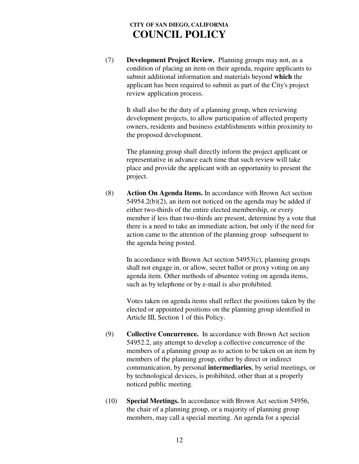(7) **Development Project Review.** Planning groups may not, as a condition of placing an item on their agenda, require applicants to submit additional information and materials beyond **which** the applicant has been required to submit as part of the City's project review application process.

It shall also be the duty of a planning group, when reviewing development projects, to allow participation of affected property owners, residents and business establishments within proximity to the proposed development.

The planning group shall directly inform the project applicant or representative in advance each time that such review will take place and provide the applicant with an opportunity to present the project.

(8) **Action On Agenda Items.** In accordance with Brown Act section 54954.2(b)(2), an item not noticed on the agenda may be added if either two-thirds of the entire elected membership, or every member if less than two-thirds are present, determine by a vote that there is a need to take an immediate action, but only if the need for action came to the attention of the planning group subsequent to the agenda being posted.

In accordance with Brown Act section  $54953(c)$ , planning groups shall not engage in, or allow, secret ballot or proxy voting on any agenda item. Other methods of absentee voting on agenda items, such as by telephone or by e-mail is also prohibited.

Votes taken on agenda items shall reflect the positions taken by the elected or appointed positions on the planning group identified in Article III, Section 1 of this Policy.

- (9) **Collective Concurrence.** In accordance with Brown Act section 54952.2, any attempt to develop a collective concurrence of the members of a planning group as to action to be taken on an item by members of the planning group, either by direct or indirect communication, by personal **intermediaries**, by serial meetings, or by technological devices, is prohibited, other than at a properly noticed public meeting.
- (10) **Special Meetings.** In accordance with Brown Act section 54956, the chair of a planning group, or a majority of planning group members, may call a special meeting. An agenda for a special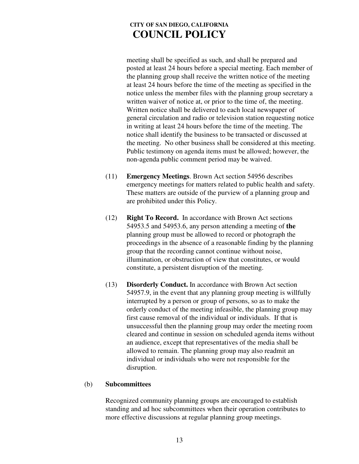meeting shall be specified as such, and shall be prepared and posted at least 24 hours before a special meeting. Each member of the planning group shall receive the written notice of the meeting at least 24 hours before the time of the meeting as specified in the notice unless the member files with the planning group secretary a written waiver of notice at, or prior to the time of, the meeting. Written notice shall be delivered to each local newspaper of general circulation and radio or television station requesting notice in writing at least 24 hours before the time of the meeting. The notice shall identify the business to be transacted or discussed at the meeting. No other business shall be considered at this meeting. Public testimony on agenda items must be allowed; however, the non-agenda public comment period may be waived.

- (11) **Emergency Meetings**. Brown Act section 54956 describes emergency meetings for matters related to public health and safety. These matters are outside of the purview of a planning group and are prohibited under this Policy.
- (12) **Right To Record.** In accordance with Brown Act sections 54953.5 and 54953.6, any person attending a meeting of **the** planning group must be allowed to record or photograph the proceedings in the absence of a reasonable finding by the planning group that the recording cannot continue without noise, illumination, or obstruction of view that constitutes, or would constitute, a persistent disruption of the meeting.
- (13) **Disorderly Conduct.** In accordance with Brown Act section 54957.9, in the event that any planning group meeting is willfully interrupted by a person or group of persons, so as to make the orderly conduct of the meeting infeasible, the planning group may first cause removal of the individual or individuals. If that is unsuccessful then the planning group may order the meeting room cleared and continue in session on scheduled agenda items without an audience, except that representatives of the media shall be allowed to remain. The planning group may also readmit an individual or individuals who were not responsible for the disruption.

#### (b) **Subcommittees**

Recognized community planning groups are encouraged to establish standing and ad hoc subcommittees when their operation contributes to more effective discussions at regular planning group meetings.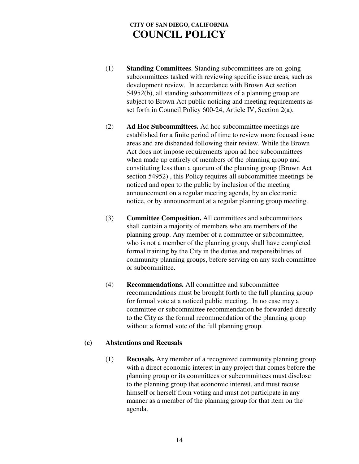- (1) **Standing Committees**. Standing subcommittees are on-going subcommittees tasked with reviewing specific issue areas, such as development review. In accordance with Brown Act section 54952(b), all standing subcommittees of a planning group are subject to Brown Act public noticing and meeting requirements as set forth in Council Policy 600-24, Article IV, Section 2(a).
- (2) **Ad Hoc Subcommittees.** Ad hoc subcommittee meetings are established for a finite period of time to review more focused issue areas and are disbanded following their review. While the Brown Act does not impose requirements upon ad hoc subcommittees when made up entirely of members of the planning group and constituting less than a quorum of the planning group (Brown Act section 54952) , this Policy requires all subcommittee meetings be noticed and open to the public by inclusion of the meeting announcement on a regular meeting agenda, by an electronic notice, or by announcement at a regular planning group meeting.
- (3) **Committee Composition.** All committees and subcommittees shall contain a majority of members who are members of the planning group. Any member of a committee or subcommittee, who is not a member of the planning group, shall have completed formal training by the City in the duties and responsibilities of community planning groups, before serving on any such committee or subcommittee.
- (4) **Recommendations.** All committee and subcommittee recommendations must be brought forth to the full planning group for formal vote at a noticed public meeting. In no case may a committee or subcommittee recommendation be forwarded directly to the City as the formal recommendation of the planning group without a formal vote of the full planning group.

#### **(c) Abstentions and Recusals**

(1) **Recusals.** Any member of a recognized community planning group with a direct economic interest in any project that comes before the planning group or its committees or subcommittees must disclose to the planning group that economic interest, and must recuse himself or herself from voting and must not participate in any manner as a member of the planning group for that item on the agenda.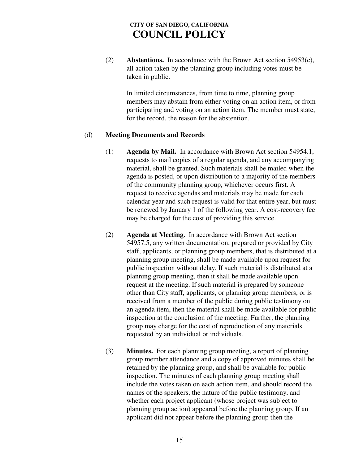(2) **Abstentions.** In accordance with the Brown Act section 54953(c), all action taken by the planning group including votes must be taken in public.

> In limited circumstances, from time to time, planning group members may abstain from either voting on an action item, or from participating and voting on an action item. The member must state, for the record, the reason for the abstention.

#### (d) **Meeting Documents and Records**

- (1) **Agenda by Mail.** In accordance with Brown Act section 54954.1, requests to mail copies of a regular agenda, and any accompanying material, shall be granted. Such materials shall be mailed when the agenda is posted, or upon distribution to a majority of the members of the community planning group, whichever occurs first. A request to receive agendas and materials may be made for each calendar year and such request is valid for that entire year, but must be renewed by January 1 of the following year. A cost-recovery fee may be charged for the cost of providing this service.
- (2**) Agenda at Meeting**. In accordance with Brown Act section 54957.5, any written documentation, prepared or provided by City staff, applicants, or planning group members, that is distributed at a planning group meeting, shall be made available upon request for public inspection without delay. If such material is distributed at a planning group meeting, then it shall be made available upon request at the meeting. If such material is prepared by someone other than City staff, applicants, or planning group members, or is received from a member of the public during public testimony on an agenda item, then the material shall be made available for public inspection at the conclusion of the meeting. Further, the planning group may charge for the cost of reproduction of any materials requested by an individual or individuals.
- (3) **Minutes.** For each planning group meeting, a report of planning group member attendance and a copy of approved minutes shall be retained by the planning group, and shall be available for public inspection. The minutes of each planning group meeting shall include the votes taken on each action item, and should record the names of the speakers, the nature of the public testimony, and whether each project applicant (whose project was subject to planning group action) appeared before the planning group. If an applicant did not appear before the planning group then the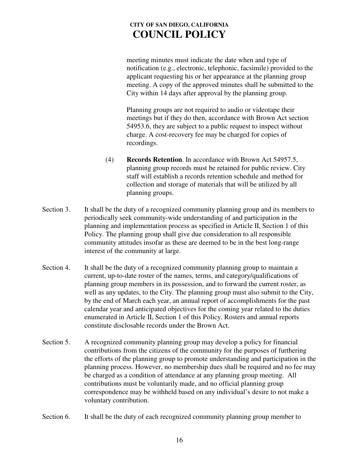meeting minutes must indicate the date when and type of notification (e.g., electronic, telephonic, facsimile) provided to the applicant requesting his or her appearance at the planning group meeting. A copy of the approved minutes shall be submitted to the City within 14 days after approval by the planning group.

Planning groups are not required to audio or videotape their meetings but if they do then, accordance with Brown Act section 54953.6, they are subject to a public request to inspect without charge. A cost-recovery fee may be charged for copies of recordings.

- (4) **Records Retention**. In accordance with Brown Act 54957.5, planning group records must be retained for public review. City staff will establish a records retention schedule and method for collection and storage of materials that will be utilized by all planning groups.
- Section 3. It shall be the duty of a recognized community planning group and its members to periodically seek community-wide understanding of and participation in the planning and implementation process as specified in Article II, Section 1 of this Policy. The planning group shall give due consideration to all responsible community attitudes insofar as these are deemed to be in the best long-range interest of the community at large.
- Section 4. It shall be the duty of a recognized community planning group to maintain a current, up-to-date roster of the names, terms, and category/qualifications of planning group members in its possession, and to forward the current roster, as well as any updates, to the City. The planning group must also submit to the City, by the end of March each year, an annual report of accomplishments for the past calendar year and anticipated objectives for the coming year related to the duties enumerated in Article II, Section 1 of this Policy. Rosters and annual reports constitute disclosable records under the Brown Act.
- Section 5. A recognized community planning group may develop a policy for financial contributions from the citizens of the community for the purposes of furthering the efforts of the planning group to promote understanding and participation in the planning process. However, no membership dues shall be required and no fee may be charged as a condition of attendance at any planning group meeting. All contributions must be voluntarily made, and no official planning group correspondence may be withheld based on any individual's desire to not make a voluntary contribution.
- Section 6. It shall be the duty of each recognized community planning group member to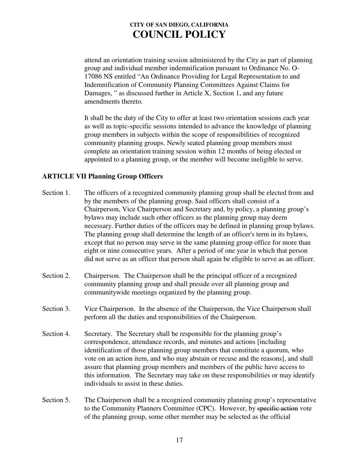attend an orientation training session administered by the City as part of planning group and individual member indemnification pursuant to Ordinance No. O-17086 NS entitled "An Ordinance Providing for Legal Representation to and Indemnification of Community Planning Committees Against Claims for Damages, " as discussed further in Article X, Section 1, and any future amendments thereto.

It shall be the duty of the City to offer at least two orientation sessions each year as well as topic-specific sessions intended to advance the knowledge of planning group members in subjects within the scope of responsibilities of recognized community planning groups. Newly seated planning group members must complete an orientation training session within 12 months of being elected or appointed to a planning group, or the member will become ineligible to serve.

### **ARTICLE VII Planning Group Officers**

- Section 1. The officers of a recognized community planning group shall be elected from and by the members of the planning group. Said officers shall consist of a Chairperson, Vice Chairperson and Secretary and, by policy, a planning group's bylaws may include such other officers as the planning group may deem necessary. Further duties of the officers may be defined in planning group bylaws. The planning group shall determine the length of an officer's term in its bylaws, except that no person may serve in the same planning group office for more than eight or nine consecutive years. After a period of one year in which that person did not serve as an officer that person shall again be eligible to serve as an officer.
- Section 2. Chairperson. The Chairperson shall be the principal officer of a recognized community planning group and shall preside over all planning group and communitywide meetings organized by the planning group.
- Section 3. Vice Chairperson. In the absence of the Chairperson, the Vice Chairperson shall perform all the duties and responsibilities of the Chairperson.
- Section 4. Secretary. The Secretary shall be responsible for the planning group's correspondence, attendance records, and minutes and actions [including identification of those planning group members that constitute a quorum, who vote on an action item, and who may abstain or recuse and the reasons], and shall assure that planning group members and members of the public have access to this information. The Secretary may take on these responsibilities or may identify individuals to assist in these duties.
- Section 5. The Chairperson shall be a recognized community planning group's representative to the Community Planners Committee (CPC). However, by specific action vote of the planning group, some other member may be selected as the official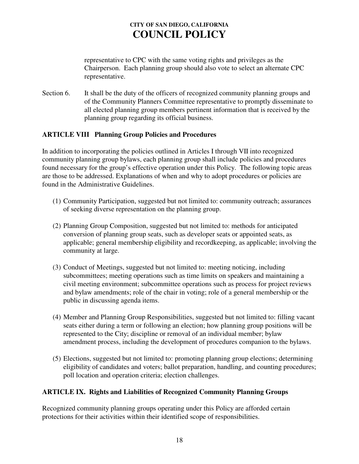representative to CPC with the same voting rights and privileges as the Chairperson. Each planning group should also vote to select an alternate CPC representative.

Section 6. It shall be the duty of the officers of recognized community planning groups and of the Community Planners Committee representative to promptly disseminate to all elected planning group members pertinent information that is received by the planning group regarding its official business.

### **ARTICLE VIII Planning Group Policies and Procedures**

In addition to incorporating the policies outlined in Articles I through VII into recognized community planning group bylaws, each planning group shall include policies and procedures found necessary for the group's effective operation under this Policy. The following topic areas are those to be addressed. Explanations of when and why to adopt procedures or policies are found in the Administrative Guidelines.

- (1) Community Participation, suggested but not limited to: community outreach; assurances of seeking diverse representation on the planning group.
- (2) Planning Group Composition, suggested but not limited to: methods for anticipated conversion of planning group seats, such as developer seats or appointed seats, as applicable; general membership eligibility and recordkeeping, as applicable; involving the community at large.
- (3) Conduct of Meetings, suggested but not limited to: meeting noticing, including subcommittees; meeting operations such as time limits on speakers and maintaining a civil meeting environment; subcommittee operations such as process for project reviews and bylaw amendments; role of the chair in voting; role of a general membership or the public in discussing agenda items.
- (4) Member and Planning Group Responsibilities, suggested but not limited to: filling vacant seats either during a term or following an election; how planning group positions will be represented to the City; discipline or removal of an individual member; bylaw amendment process, including the development of procedures companion to the bylaws.
- (5) Elections, suggested but not limited to: promoting planning group elections; determining eligibility of candidates and voters; ballot preparation, handling, and counting procedures; poll location and operation criteria; election challenges.

### **ARTICLE IX. Rights and Liabilities of Recognized Community Planning Groups**

Recognized community planning groups operating under this Policy are afforded certain protections for their activities within their identified scope of responsibilities.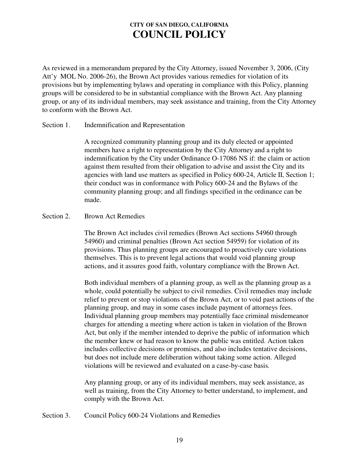As reviewed in a memorandum prepared by the City Attorney, issued November 3, 2006, (City Att'y MOL No. 2006-26), the Brown Act provides various remedies for violation of its provisions but by implementing bylaws and operating in compliance with this Policy, planning groups will be considered to be in substantial compliance with the Brown Act. Any planning group, or any of its individual members, may seek assistance and training, from the City Attorney to conform with the Brown Act.

#### Section 1. Indemnification and Representation

A recognized community planning group and its duly elected or appointed members have a right to representation by the City Attorney and a right to indemnification by the City under Ordinance O-17086 NS if: the claim or action against them resulted from their obligation to advise and assist the City and its agencies with land use matters as specified in Policy 600-24, Article II, Section 1; their conduct was in conformance with Policy 600-24 and the Bylaws of the community planning group; and all findings specified in the ordinance can be made.

#### Section 2. Brown Act Remedies

The Brown Act includes civil remedies (Brown Act sections 54960 through 54960) and criminal penalties (Brown Act section 54959) for violation of its provisions. Thus planning groups are encouraged to proactively cure violations themselves. This is to prevent legal actions that would void planning group actions, and it assures good faith, voluntary compliance with the Brown Act.

Both individual members of a planning group, as well as the planning group as a whole, could potentially be subject to civil remedies. Civil remedies may include relief to prevent or stop violations of the Brown Act, or to void past actions of the planning group, and may in some cases include payment of attorneys fees. Individual planning group members may potentially face criminal misdemeanor charges for attending a meeting where action is taken in violation of the Brown Act, but only if the member intended to deprive the public of information which the member knew or had reason to know the public was entitled. Action taken includes collective decisions or promises, and also includes tentative decisions, but does not include mere deliberation without taking some action. Alleged violations will be reviewed and evaluated on a case-by-case basis*.*

Any planning group, or any of its individual members, may seek assistance, as well as training, from the City Attorney to better understand, to implement, and comply with the Brown Act.

Section 3. Council Policy 600-24 Violations and Remedies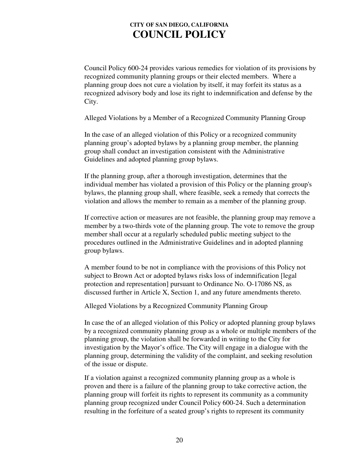Council Policy 600-24 provides various remedies for violation of its provisions by recognized community planning groups or their elected members. Where a planning group does not cure a violation by itself, it may forfeit its status as a recognized advisory body and lose its right to indemnification and defense by the City.

Alleged Violations by a Member of a Recognized Community Planning Group

In the case of an alleged violation of this Policy or a recognized community planning group's adopted bylaws by a planning group member, the planning group shall conduct an investigation consistent with the Administrative Guidelines and adopted planning group bylaws.

If the planning group, after a thorough investigation, determines that the individual member has violated a provision of this Policy or the planning group's bylaws, the planning group shall, where feasible, seek a remedy that corrects the violation and allows the member to remain as a member of the planning group.

If corrective action or measures are not feasible, the planning group may remove a member by a two-thirds vote of the planning group. The vote to remove the group member shall occur at a regularly scheduled public meeting subject to the procedures outlined in the Administrative Guidelines and in adopted planning group bylaws.

A member found to be not in compliance with the provisions of this Policy not subject to Brown Act or adopted bylaws risks loss of indemnification [legal protection and representation] pursuant to Ordinance No. O-17086 NS, as discussed further in Article X, Section 1, and any future amendments thereto.

Alleged Violations by a Recognized Community Planning Group

In case the of an alleged violation of this Policy or adopted planning group bylaws by a recognized community planning group as a whole or multiple members of the planning group, the violation shall be forwarded in writing to the City for investigation by the Mayor's office. The City will engage in a dialogue with the planning group, determining the validity of the complaint, and seeking resolution of the issue or dispute.

If a violation against a recognized community planning group as a whole is proven and there is a failure of the planning group to take corrective action, the planning group will forfeit its rights to represent its community as a community planning group recognized under Council Policy 600-24. Such a determination resulting in the forfeiture of a seated group's rights to represent its community